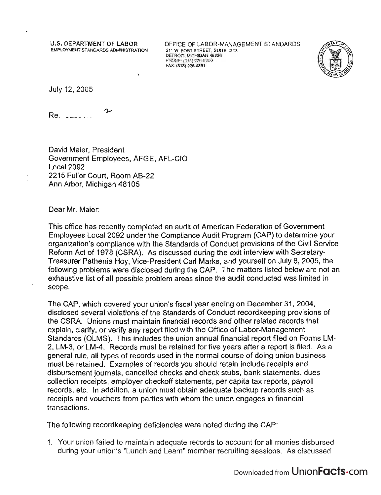U.S. DEPARTMENT OF LABOR EMPLOYMENT STANDARDS ADMINISTRATION OFFICE OF LABOR-MANAGEMENT STANDARDS 211 W. FORT STREET, SUITE 1313  $T = W_1 U_1 U_2 U_3 U_4 U_5 U_6$  $P_{\text{H}}(3127)$ PHONE: (313) 226-6200<br>FAX: (313) 226-4391



July 12, 2005

ىد  $Re.$   $I = 100$ 

David Maier, President Government Employees, AFGE, AFl-CIO local 2092 2215 Fuller Court, Room AB-22 Ann Arbor, Michigan 48105

Dear Mr. Maier:

This office has recently completed an audit of American Federation of Govemment Employees local 2092 under the Compliance Audit Program (CAP) to determine your organization's compliance with the Standards of Conduct provisions of the Civil Service Reform Act of 1978 (CSRA). As discussed during the exit interview with Secretary-Treasurer Pathenia Hoy, Vice-President Carl Marks, and yourself on July 8, 2005, the following problems were disclosed during the CAP. The matters listed below are not an exhaustive list of all possible problem areas since the audit conducted was limited in scope.

The CAP, which covered your union's fiscal year ending on December 31, 2004, disclosed several violations of the Standards of Conduct record keeping provisions of the CSRA. Unions must maintain financial records and other related records that explain, clarify, or verify any report filed with the Office of Labor-Management Standards (OlMS). This includes the union annual financial report filed on Forms lM-2, lM-3, or lM-4. Records must be retained for five years after a report is filed. As a general rule, all types of records used in the normal course of doing union business must be retained. Examples of records you should retain include receipts and medicion recentrical. Examples of records you should retain modde receipts and<br>disbursement journals, cancelled checks and check stubs, bank statements, dues<br>collection receipts, employer checkoff statements, per capita ta collection receipts, employer checkoff statements, per capita tax reports, payroll<br>records, etc. In addition, a union must obtain adequate backup records such as receipts and vouchers from parties with whom the union engages in financial transactions.

The following record keeping deficiencies were noted during the CAP:

1. Your union failed to maintain adequate records to account for all monies disbursed during your union's "lunch and learn" member recruiting sessions. As discussed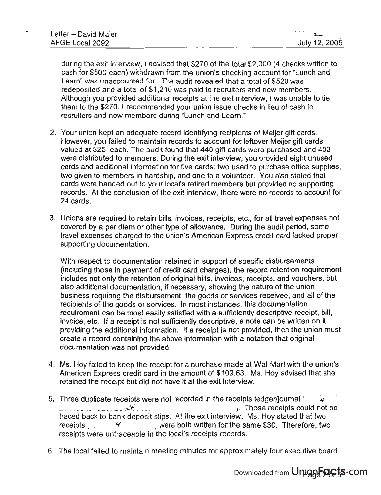during the exit interview, I advised that \$270 of the total \$2,000 (4 checks written to cash for \$500 each) withdrawn from the union's checking account for "Lunch and Learn" was unaccounted for. The audit revealed that a total of \$520 was redeposited and a total of \$1 ,210 was paid to recruiters and new members. Although you provided additional receipts at the exit interview, I was unable to tie them to the \$270. I recommended your union issue checks in lieu of cash to recruiters and new members during "Lunch and Learn."

- 2. Your union kept an adequate record identifying recipients of Meijer gift cards. However, you failed to maintain records to account for leftover Meijer gift cards, valued at \$25 each. The audit found that 440 gift cards were purchased and 403 were distributed to members. During the exit interview, you provided eight unused cards and additional information for five cards: two used to purchase office supplies, two given to members in hardship, and one to a volunteer. You also stated that cards were handed out to your local's retired members but provided no supporting records. At the conclusion of the exit interview, there were no records to account for 24 cards.
- 3. Unions are required to retain bills, invoices, receipts, etc., for all travel expenses not covered by a per diem or other type of allowance. During the audit period, some travel expenses charged to the union's American Express credit card lacked proper supporting documentation.

With respect to documentation retained in support of specific disbursements (including those in payment of credit card charges), the record retention requirement includes not only the retention of original bills, invoices, receipts, and vouchers, but also additional documentation, if necessary, showing the nature of the union business requiring the disbursement, the goods or services received, and all of the recipients of the goods or services. In most instances, this documentation requirement can be most easily satisfied with a sufficiently descriptive receipt, bill, invoice, etc. If a receipt is not sufficiently descriptive, a note can be written on it providing the additional information. If a receipt is not provided, then the union must create a record containing the above information with a notation that original documentation was not provided.

- 4. Ms. Hoy failed to keep the receipt for a purchase made at Wal-Mart with the union's American Express credit card in the amount of \$109.63. Ms. Hoy advised that she retained the receipt but did not have it at the exit interview.
- $\frac{1}{2}$ . Three duplicate receipts were not recorded in the receipts ledger/journal  $\frac{1}{2}$  $\frac{4}{100}$  -  $\frac{4}{100}$  . Those receipts could not be  $\frac{4}{100}$ traced back to bank deposit slips. At the exit interview, Ms. Hoy stated that two traced back to bank deposit slips. At the exit interview, Ms. Hoy stated that two receipts  $\leftarrow$  . Therefore, two  $\sim$  , were both written for the same \$30. Therefore, two receipts were untraceable in the local's receipts records.
- 6. The local failed to maintain meeting minutes for approximately four executive board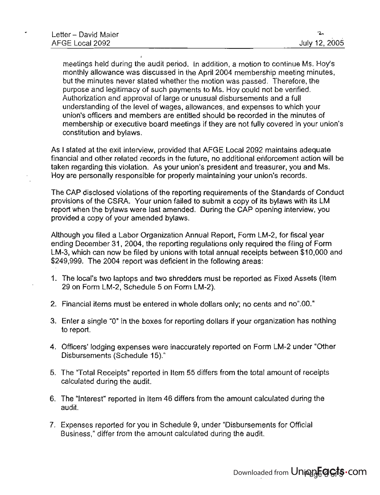meetings held during the audit period. In addition, a motion to continue Ms. Hoy's monthly allowance was discussed in the April 2004 membership meeting minutes, but the minutes never stated whether the motion was passed. Therefore, the purpose and legitimacy of such payments to Ms. Hoy could not be verified. Authorization and approval of large or unusual disbursements and a full understanding of the level of wages, allowances, and expenses to which your union's officers and members are entitled should be recorded in the minutes of membership or executive board meetings if they are not fully covered in your union's constitution and bylaws.

As I stated at the exit interview, provided that AFGE Local 2092 maintains adequate financial and other related records in the future, no additional enforcement action will be taken regarding this violation. As your union's president and treasurer, you and Ms. Hoy are personally responsible for properly maintaining your union's records.

The CAP disclosed violations of the reporting requirements of the Standards of Conduct provisions of the CSRA. Your union failed to submit a copy of its bylaws with its LM report when the bylaws were last amended. During the CAP opening interview, you provided a copy of your amended bylaws.

Although you filed a Labor Organization Annual Report, Form LM-2, for fiscal year ending December 31,2004, the reporting regulations only required the filing of Form LM-3, which can now be filed by unions with total annual receipts between \$10,000 and \$249,999. The 2004 report was deficient in the following areas:

- 1. The local's two laptops and two shredders must be reported as Fixed Assets (Item 29 on Form LM-2, Schedule 5 on Form LM-2).
- 2. Financial items must be entered in whole dollars only; no cents and no".OO."
- 3. Enter a single "0" in the boxes for reporting dollars if your organization has nothing to report.
- 4. Officers' lodging expenses were inaccurately reported on Form LM-2 under "Other Disbursements (Schedule 15)."
- 5. The "Total Receipts" reported in Item 55 differs from the total amount of receipts calculated during the audit.
- 6. The "Interest" reported in Item 46 differs from the amount calculated during the audit.
- 7. Expenses reported for you in Schedule 9, under "Disbursements for Official Business," differ from the amount calculated during the audit.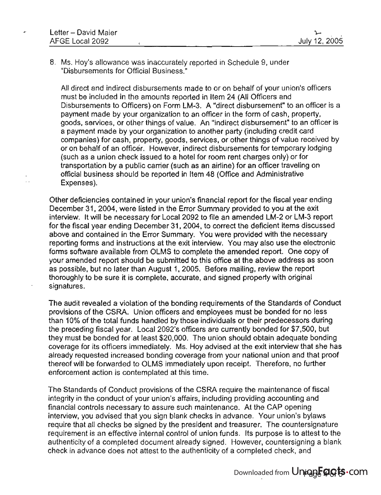8. Ms. Hoy's allowance was inaccurately reported in Schedule 9, under "Disbursements for Official Business."

All direct and indirect disbursements made to or on behalf of your union's officers must be included in the amounts reported in Item 24 (All Officers and Disbursements to Officers) on Form lM-3. A "direct disbursement" to an officer is a payment made by your organization to an officer in the form of cash, property, goods, services, or other things of value. An "indirect disbursement" to an officer is a payment made by your organization to another party (including credit card companies) for cash, property, goods, services, or other things of value received by or on behalf of an officer. However, indirect disbursements for temporary lodging (such as a union check issued to a hotel for room rent charges only) or for transportation by a public carrier (such as an airline) for an officer traveling on official business should be reported in Item 48 (Office and Administrative Expenses).

Other deficiencies contained in your union's financial report for the fiscal year ending December 31,2004, were listed in the Error Summary provided to you at the exit interview. It will be necessary for local 2092 to file an amended lM-2 or lM-3 report for the fiscal year ending December 31,2004, to correct the deficient items discussed above and contained in the Error Summary. You were provided with the necessary reporting forms and instructions at the exit interview. You may also use the electronic forms software available from OlMS to complete the amended report. One copy of your amended report should be submitted to this office at the above address as soon as possible, but no later than August 1, 2005. Before mailing, review the report thoroughly to be sure it is complete, accurate, and signed properly with original signatures.

The audit revealed a violation of the bonding requirements of the Standards of Conduct provisions of the CSRA. Union officers and employees must be bonded for no less than 10% of the total funds handled by those individuals or their predecessors during the preceding fiscal year. local 2092's officers are currently bonded for \$7,500, but they must be bonded for at least \$20,000. The union should obtain adequate bonding coverage for its officers immediately. Ms. Hoy advised at the exit interview that she has already requested increased bonding coverage from your national union and that proof thereof will be forwarded to OlMS immediately upon receipt. Therefore, no further enforcement action is contemplated at this time.

The Standards of Conduct provisions of the CSRA require the maintenance of fiscal integrity in the conduct of your union's affairs, including providing accounting and financial controls necessary to assure such maintenance. At the CAP opening interview, you advised that you sign blank checks in advance. Your union's bylaws require that all checks be signed by the president and treasurer. The countersignature requirement is an effective internal control of union funds. Its purpose is to attest to the authenticity of a completed document already signed. However, countersigning a blank check in advance does not attest to the authenticity of a completed check, and